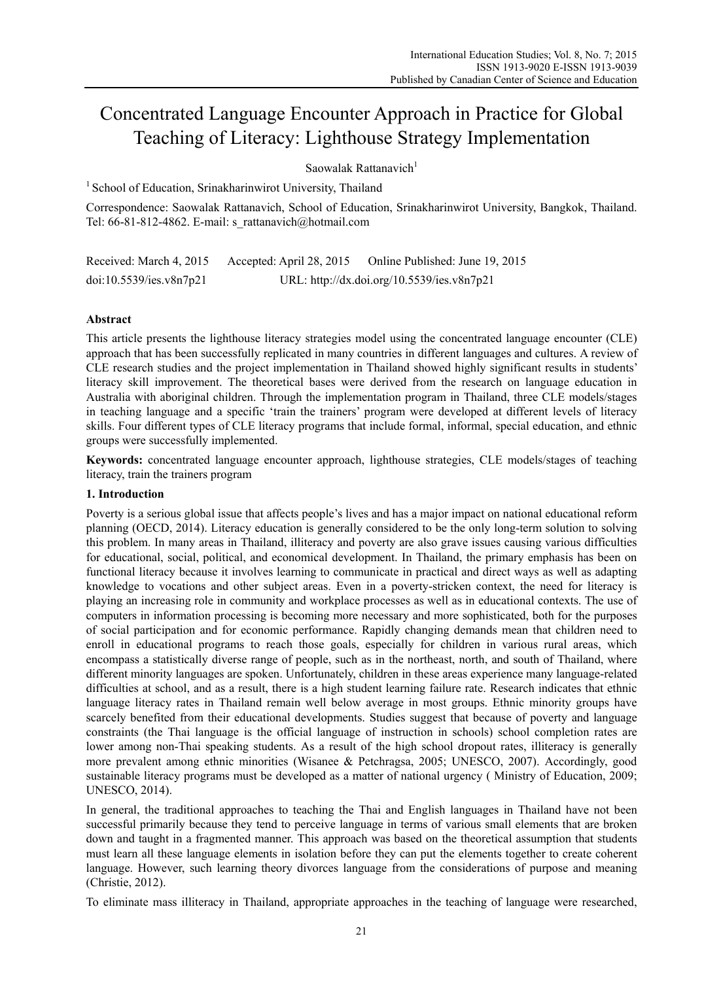# Concentrated Language Encounter Approach in Practice for Global Teaching of Literacy: Lighthouse Strategy Implementation

Saowalak Rattanavich<sup>1</sup>

<sup>1</sup> School of Education, Srinakharinwirot University, Thailand

Correspondence: Saowalak Rattanavich, School of Education, Srinakharinwirot University, Bangkok, Thailand. Tel: 66-81-812-4862. E-mail: s\_rattanavich@hotmail.com

Received: March 4, 2015 Accepted: April 28, 2015 Online Published: June 19, 2015 doi:10.5539/ies.v8n7p21 URL: http://dx.doi.org/10.5539/ies.v8n7p21

# **Abstract**

This article presents the lighthouse literacy strategies model using the concentrated language encounter (CLE) approach that has been successfully replicated in many countries in different languages and cultures. A review of CLE research studies and the project implementation in Thailand showed highly significant results in students' literacy skill improvement. The theoretical bases were derived from the research on language education in Australia with aboriginal children. Through the implementation program in Thailand, three CLE models/stages in teaching language and a specific 'train the trainers' program were developed at different levels of literacy skills. Four different types of CLE literacy programs that include formal, informal, special education, and ethnic groups were successfully implemented.

**Keywords:** concentrated language encounter approach, lighthouse strategies, CLE models/stages of teaching literacy, train the trainers program

## **1. Introduction**

Poverty is a serious global issue that affects people's lives and has a major impact on national educational reform planning (OECD, 2014). Literacy education is generally considered to be the only long-term solution to solving this problem. In many areas in Thailand, illiteracy and poverty are also grave issues causing various difficulties for educational, social, political, and economical development. In Thailand, the primary emphasis has been on functional literacy because it involves learning to communicate in practical and direct ways as well as adapting knowledge to vocations and other subject areas. Even in a poverty-stricken context, the need for literacy is playing an increasing role in community and workplace processes as well as in educational contexts. The use of computers in information processing is becoming more necessary and more sophisticated, both for the purposes of social participation and for economic performance. Rapidly changing demands mean that children need to enroll in educational programs to reach those goals, especially for children in various rural areas, which encompass a statistically diverse range of people, such as in the northeast, north, and south of Thailand, where different minority languages are spoken. Unfortunately, children in these areas experience many language-related difficulties at school, and as a result, there is a high student learning failure rate. Research indicates that ethnic language literacy rates in Thailand remain well below average in most groups. Ethnic minority groups have scarcely benefited from their educational developments. Studies suggest that because of poverty and language constraints (the Thai language is the official language of instruction in schools) school completion rates are lower among non-Thai speaking students. As a result of the high school dropout rates, illiteracy is generally more prevalent among ethnic minorities (Wisanee & Petchragsa, 2005; UNESCO, 2007). Accordingly, good sustainable literacy programs must be developed as a matter of national urgency ( Ministry of Education, 2009; UNESCO, 2014).

In general, the traditional approaches to teaching the Thai and English languages in Thailand have not been successful primarily because they tend to perceive language in terms of various small elements that are broken down and taught in a fragmented manner. This approach was based on the theoretical assumption that students must learn all these language elements in isolation before they can put the elements together to create coherent language. However, such learning theory divorces language from the considerations of purpose and meaning (Christie, 2012).

To eliminate mass illiteracy in Thailand, appropriate approaches in the teaching of language were researched,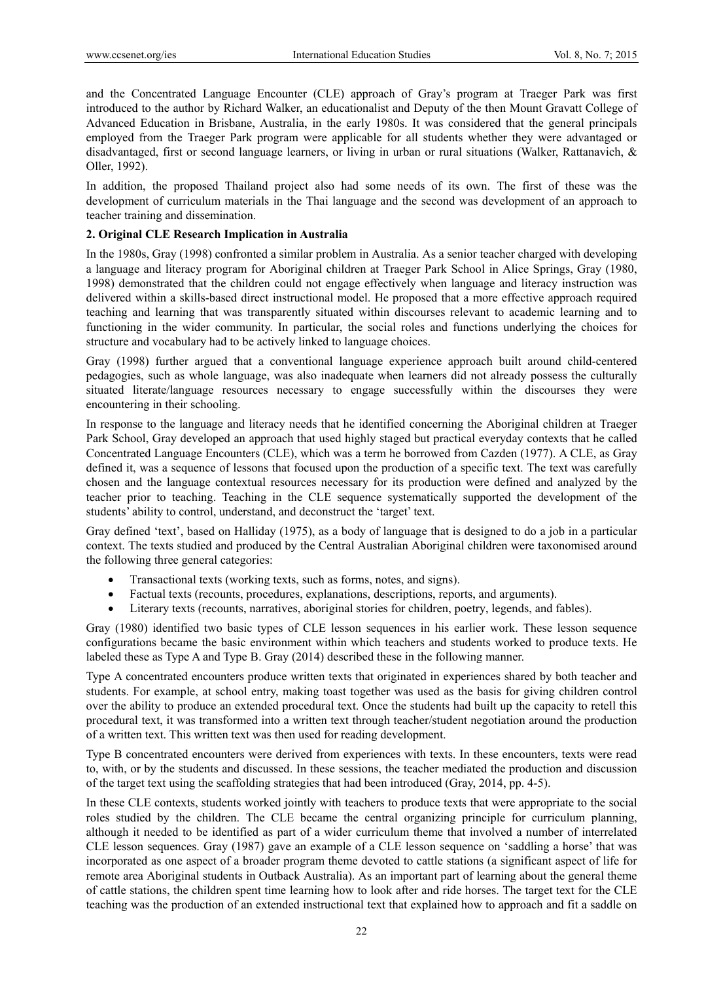and the Concentrated Language Encounter (CLE) approach of Gray's program at Traeger Park was first introduced to the author by Richard Walker, an educationalist and Deputy of the then Mount Gravatt College of Advanced Education in Brisbane, Australia, in the early 1980s. It was considered that the general principals employed from the Traeger Park program were applicable for all students whether they were advantaged or disadvantaged, first or second language learners, or living in urban or rural situations (Walker, Rattanavich, & Oller, 1992).

In addition, the proposed Thailand project also had some needs of its own. The first of these was the development of curriculum materials in the Thai language and the second was development of an approach to teacher training and dissemination.

# **2. Original CLE Research Implication in Australia**

In the 1980s, Gray (1998) confronted a similar problem in Australia. As a senior teacher charged with developing a language and literacy program for Aboriginal children at Traeger Park School in Alice Springs, Gray (1980, 1998) demonstrated that the children could not engage effectively when language and literacy instruction was delivered within a skills-based direct instructional model. He proposed that a more effective approach required teaching and learning that was transparently situated within discourses relevant to academic learning and to functioning in the wider community. In particular, the social roles and functions underlying the choices for structure and vocabulary had to be actively linked to language choices.

Gray (1998) further argued that a conventional language experience approach built around child-centered pedagogies, such as whole language, was also inadequate when learners did not already possess the culturally situated literate/language resources necessary to engage successfully within the discourses they were encountering in their schooling.

In response to the language and literacy needs that he identified concerning the Aboriginal children at Traeger Park School, Gray developed an approach that used highly staged but practical everyday contexts that he called Concentrated Language Encounters (CLE), which was a term he borrowed from Cazden (1977). A CLE, as Gray defined it, was a sequence of lessons that focused upon the production of a specific text. The text was carefully chosen and the language contextual resources necessary for its production were defined and analyzed by the teacher prior to teaching. Teaching in the CLE sequence systematically supported the development of the students' ability to control, understand, and deconstruct the 'target' text.

Gray defined 'text', based on Halliday (1975), as a body of language that is designed to do a job in a particular context. The texts studied and produced by the Central Australian Aboriginal children were taxonomised around the following three general categories:

- Transactional texts (working texts, such as forms, notes, and signs).
- Factual texts (recounts, procedures, explanations, descriptions, reports, and arguments).
- Literary texts (recounts, narratives, aboriginal stories for children, poetry, legends, and fables).

Gray (1980) identified two basic types of CLE lesson sequences in his earlier work. These lesson sequence configurations became the basic environment within which teachers and students worked to produce texts. He labeled these as Type A and Type B. Gray (2014) described these in the following manner.

Type A concentrated encounters produce written texts that originated in experiences shared by both teacher and students. For example, at school entry, making toast together was used as the basis for giving children control over the ability to produce an extended procedural text. Once the students had built up the capacity to retell this procedural text, it was transformed into a written text through teacher/student negotiation around the production of a written text. This written text was then used for reading development.

Type B concentrated encounters were derived from experiences with texts. In these encounters, texts were read to, with, or by the students and discussed. In these sessions, the teacher mediated the production and discussion of the target text using the scaffolding strategies that had been introduced (Gray, 2014, pp. 4-5).

In these CLE contexts, students worked jointly with teachers to produce texts that were appropriate to the social roles studied by the children. The CLE became the central organizing principle for curriculum planning, although it needed to be identified as part of a wider curriculum theme that involved a number of interrelated CLE lesson sequences. Gray (1987) gave an example of a CLE lesson sequence on 'saddling a horse' that was incorporated as one aspect of a broader program theme devoted to cattle stations (a significant aspect of life for remote area Aboriginal students in Outback Australia). As an important part of learning about the general theme of cattle stations, the children spent time learning how to look after and ride horses. The target text for the CLE teaching was the production of an extended instructional text that explained how to approach and fit a saddle on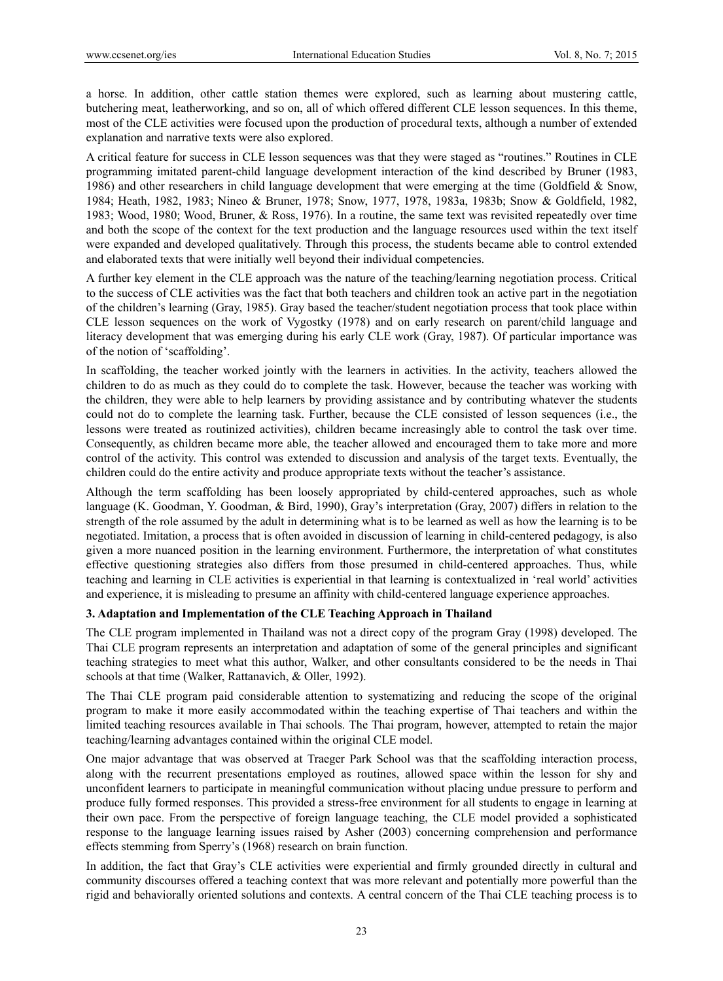a horse. In addition, other cattle station themes were explored, such as learning about mustering cattle, butchering meat, leatherworking, and so on, all of which offered different CLE lesson sequences. In this theme, most of the CLE activities were focused upon the production of procedural texts, although a number of extended explanation and narrative texts were also explored.

A critical feature for success in CLE lesson sequences was that they were staged as "routines." Routines in CLE programming imitated parent-child language development interaction of the kind described by Bruner (1983, 1986) and other researchers in child language development that were emerging at the time (Goldfield & Snow, 1984; Heath, 1982, 1983; Nineo & Bruner, 1978; Snow, 1977, 1978, 1983a, 1983b; Snow & Goldfield, 1982, 1983; Wood, 1980; Wood, Bruner, & Ross, 1976). In a routine, the same text was revisited repeatedly over time and both the scope of the context for the text production and the language resources used within the text itself were expanded and developed qualitatively. Through this process, the students became able to control extended and elaborated texts that were initially well beyond their individual competencies.

A further key element in the CLE approach was the nature of the teaching/learning negotiation process. Critical to the success of CLE activities was the fact that both teachers and children took an active part in the negotiation of the children's learning (Gray, 1985). Gray based the teacher/student negotiation process that took place within CLE lesson sequences on the work of Vygostky (1978) and on early research on parent/child language and literacy development that was emerging during his early CLE work (Gray, 1987). Of particular importance was of the notion of 'scaffolding'.

In scaffolding, the teacher worked jointly with the learners in activities. In the activity, teachers allowed the children to do as much as they could do to complete the task. However, because the teacher was working with the children, they were able to help learners by providing assistance and by contributing whatever the students could not do to complete the learning task. Further, because the CLE consisted of lesson sequences (i.e., the lessons were treated as routinized activities), children became increasingly able to control the task over time. Consequently, as children became more able, the teacher allowed and encouraged them to take more and more control of the activity. This control was extended to discussion and analysis of the target texts. Eventually, the children could do the entire activity and produce appropriate texts without the teacher's assistance.

Although the term scaffolding has been loosely appropriated by child-centered approaches, such as whole language (K. Goodman, Y. Goodman, & Bird, 1990), Gray's interpretation (Gray, 2007) differs in relation to the strength of the role assumed by the adult in determining what is to be learned as well as how the learning is to be negotiated. Imitation, a process that is often avoided in discussion of learning in child-centered pedagogy, is also given a more nuanced position in the learning environment. Furthermore, the interpretation of what constitutes effective questioning strategies also differs from those presumed in child-centered approaches. Thus, while teaching and learning in CLE activities is experiential in that learning is contextualized in 'real world' activities and experience, it is misleading to presume an affinity with child-centered language experience approaches.

# **3. Adaptation and Implementation of the CLE Teaching Approach in Thailand**

The CLE program implemented in Thailand was not a direct copy of the program Gray (1998) developed. The Thai CLE program represents an interpretation and adaptation of some of the general principles and significant teaching strategies to meet what this author, Walker, and other consultants considered to be the needs in Thai schools at that time (Walker, Rattanavich, & Oller, 1992).

The Thai CLE program paid considerable attention to systematizing and reducing the scope of the original program to make it more easily accommodated within the teaching expertise of Thai teachers and within the limited teaching resources available in Thai schools. The Thai program, however, attempted to retain the major teaching/learning advantages contained within the original CLE model.

One major advantage that was observed at Traeger Park School was that the scaffolding interaction process, along with the recurrent presentations employed as routines, allowed space within the lesson for shy and unconfident learners to participate in meaningful communication without placing undue pressure to perform and produce fully formed responses. This provided a stress-free environment for all students to engage in learning at their own pace. From the perspective of foreign language teaching, the CLE model provided a sophisticated response to the language learning issues raised by Asher (2003) concerning comprehension and performance effects stemming from Sperry's (1968) research on brain function.

In addition, the fact that Gray's CLE activities were experiential and firmly grounded directly in cultural and community discourses offered a teaching context that was more relevant and potentially more powerful than the rigid and behaviorally oriented solutions and contexts. A central concern of the Thai CLE teaching process is to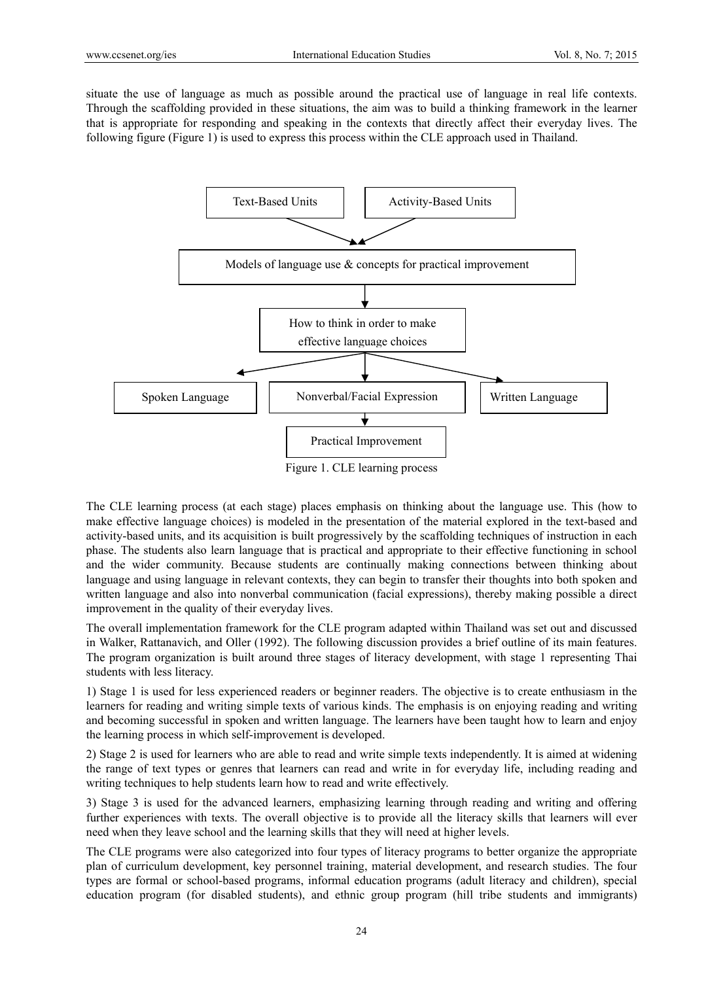situate the use of language as much as possible around the practical use of language in real life contexts. Through the scaffolding provided in these situations, the aim was to build a thinking framework in the learner that is appropriate for responding and speaking in the contexts that directly affect their everyday lives. The following figure (Figure 1) is used to express this process within the CLE approach used in Thailand.



The CLE learning process (at each stage) places emphasis on thinking about the language use. This (how to make effective language choices) is modeled in the presentation of the material explored in the text-based and activity-based units, and its acquisition is built progressively by the scaffolding techniques of instruction in each phase. The students also learn language that is practical and appropriate to their effective functioning in school and the wider community. Because students are continually making connections between thinking about language and using language in relevant contexts, they can begin to transfer their thoughts into both spoken and written language and also into nonverbal communication (facial expressions), thereby making possible a direct improvement in the quality of their everyday lives.

The overall implementation framework for the CLE program adapted within Thailand was set out and discussed in Walker, Rattanavich, and Oller (1992). The following discussion provides a brief outline of its main features. The program organization is built around three stages of literacy development, with stage 1 representing Thai students with less literacy.

1) Stage 1 is used for less experienced readers or beginner readers. The objective is to create enthusiasm in the learners for reading and writing simple texts of various kinds. The emphasis is on enjoying reading and writing and becoming successful in spoken and written language. The learners have been taught how to learn and enjoy the learning process in which self-improvement is developed.

2) Stage 2 is used for learners who are able to read and write simple texts independently. It is aimed at widening the range of text types or genres that learners can read and write in for everyday life, including reading and writing techniques to help students learn how to read and write effectively.

3) Stage 3 is used for the advanced learners, emphasizing learning through reading and writing and offering further experiences with texts. The overall objective is to provide all the literacy skills that learners will ever need when they leave school and the learning skills that they will need at higher levels.

The CLE programs were also categorized into four types of literacy programs to better organize the appropriate plan of curriculum development, key personnel training, material development, and research studies. The four types are formal or school-based programs, informal education programs (adult literacy and children), special education program (for disabled students), and ethnic group program (hill tribe students and immigrants)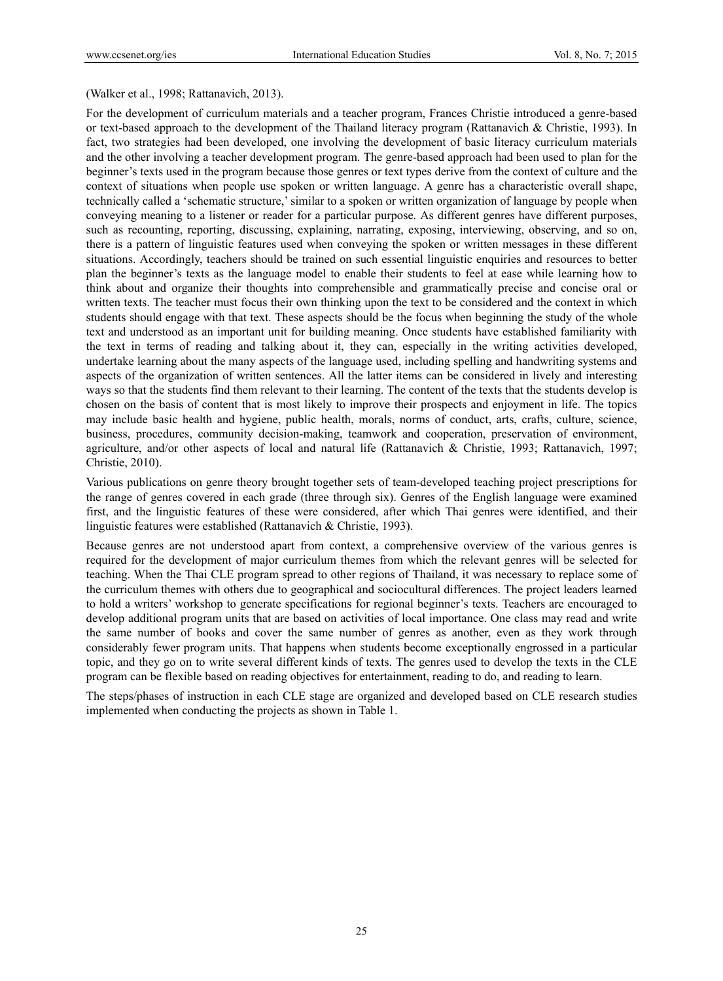### (Walker et al., 1998; Rattanavich, 2013).

For the development of curriculum materials and a teacher program, Frances Christie introduced a genre-based or text-based approach to the development of the Thailand literacy program (Rattanavich & Christie, 1993). In fact, two strategies had been developed, one involving the development of basic literacy curriculum materials and the other involving a teacher development program. The genre-based approach had been used to plan for the beginner's texts used in the program because those genres or text types derive from the context of culture and the context of situations when people use spoken or written language. A genre has a characteristic overall shape, technically called a 'schematic structure,' similar to a spoken or written organization of language by people when conveying meaning to a listener or reader for a particular purpose. As different genres have different purposes, such as recounting, reporting, discussing, explaining, narrating, exposing, interviewing, observing, and so on, there is a pattern of linguistic features used when conveying the spoken or written messages in these different situations. Accordingly, teachers should be trained on such essential linguistic enquiries and resources to better plan the beginner's texts as the language model to enable their students to feel at ease while learning how to think about and organize their thoughts into comprehensible and grammatically precise and concise oral or written texts. The teacher must focus their own thinking upon the text to be considered and the context in which students should engage with that text. These aspects should be the focus when beginning the study of the whole text and understood as an important unit for building meaning. Once students have established familiarity with the text in terms of reading and talking about it, they can, especially in the writing activities developed, undertake learning about the many aspects of the language used, including spelling and handwriting systems and aspects of the organization of written sentences. All the latter items can be considered in lively and interesting ways so that the students find them relevant to their learning. The content of the texts that the students develop is chosen on the basis of content that is most likely to improve their prospects and enjoyment in life. The topics may include basic health and hygiene, public health, morals, norms of conduct, arts, crafts, culture, science, business, procedures, community decision-making, teamwork and cooperation, preservation of environment, agriculture, and/or other aspects of local and natural life (Rattanavich & Christie, 1993; Rattanavich, 1997; Christie, 2010).

Various publications on genre theory brought together sets of team-developed teaching project prescriptions for the range of genres covered in each grade (three through six). Genres of the English language were examined first, and the linguistic features of these were considered, after which Thai genres were identified, and their linguistic features were established (Rattanavich & Christie, 1993).

Because genres are not understood apart from context, a comprehensive overview of the various genres is required for the development of major curriculum themes from which the relevant genres will be selected for teaching. When the Thai CLE program spread to other regions of Thailand, it was necessary to replace some of the curriculum themes with others due to geographical and sociocultural differences. The project leaders learned to hold a writers' workshop to generate specifications for regional beginner's texts. Teachers are encouraged to develop additional program units that are based on activities of local importance. One class may read and write the same number of books and cover the same number of genres as another, even as they work through considerably fewer program units. That happens when students become exceptionally engrossed in a particular topic, and they go on to write several different kinds of texts. The genres used to develop the texts in the CLE program can be flexible based on reading objectives for entertainment, reading to do, and reading to learn.

The steps/phases of instruction in each CLE stage are organized and developed based on CLE research studies implemented when conducting the projects as shown in Table 1.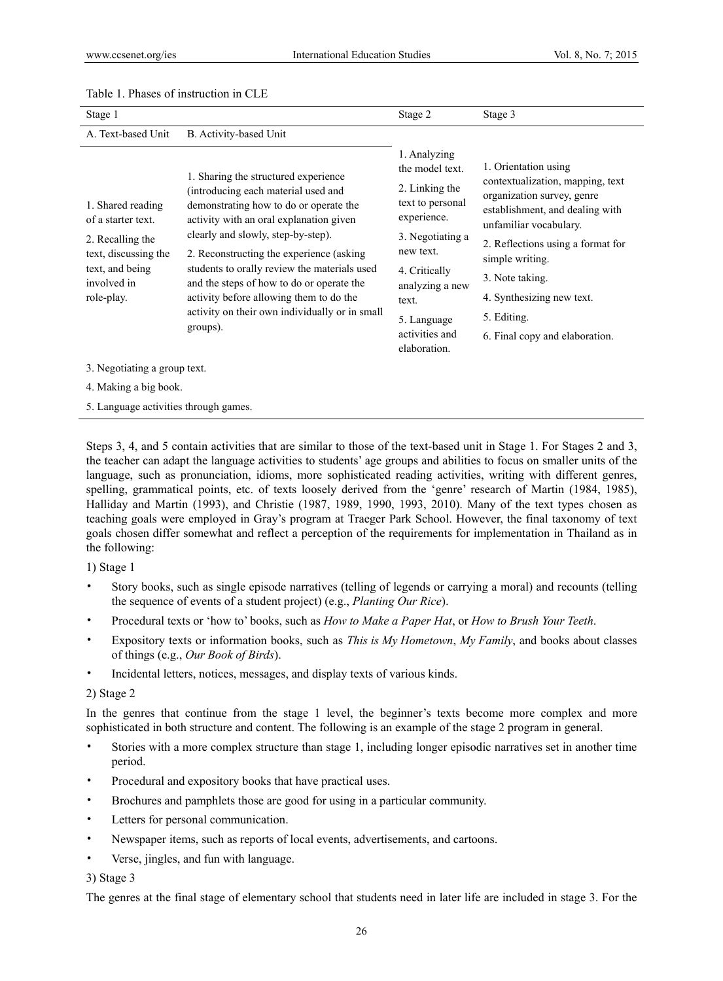| Stage 1                                                                                                                             |                                                                                                                                                                                                                                                                                                                                                                                                                                                           | Stage 2                                                                                                                                                                                                             | Stage 3                                                                                                                                                                                                                                                                                                      |  |  |  |  |  |  |  |
|-------------------------------------------------------------------------------------------------------------------------------------|-----------------------------------------------------------------------------------------------------------------------------------------------------------------------------------------------------------------------------------------------------------------------------------------------------------------------------------------------------------------------------------------------------------------------------------------------------------|---------------------------------------------------------------------------------------------------------------------------------------------------------------------------------------------------------------------|--------------------------------------------------------------------------------------------------------------------------------------------------------------------------------------------------------------------------------------------------------------------------------------------------------------|--|--|--|--|--|--|--|
| A. Text-based Unit                                                                                                                  | B. Activity-based Unit                                                                                                                                                                                                                                                                                                                                                                                                                                    |                                                                                                                                                                                                                     |                                                                                                                                                                                                                                                                                                              |  |  |  |  |  |  |  |
| 1. Shared reading<br>of a starter text.<br>2. Recalling the<br>text, discussing the<br>text, and being<br>involved in<br>role-play. | 1. Sharing the structured experience<br>(introducing each material used and<br>demonstrating how to do or operate the<br>activity with an oral explanation given<br>clearly and slowly, step-by-step).<br>2. Reconstructing the experience (asking)<br>students to orally review the materials used<br>and the steps of how to do or operate the<br>activity before allowing them to do the<br>activity on their own individually or in small<br>groups). | 1. Analyzing<br>the model text.<br>2. Linking the<br>text to personal<br>experience.<br>3. Negotiating a<br>new text.<br>4. Critically<br>analyzing a new<br>text.<br>5. Language<br>activities and<br>elaboration. | 1. Orientation using<br>contextualization, mapping, text<br>organization survey, genre<br>establishment, and dealing with<br>unfamiliar vocabulary.<br>2. Reflections using a format for<br>simple writing.<br>3. Note taking.<br>4. Synthesizing new text.<br>5. Editing.<br>6. Final copy and elaboration. |  |  |  |  |  |  |  |
| 3. Negotiating a group text.                                                                                                        |                                                                                                                                                                                                                                                                                                                                                                                                                                                           |                                                                                                                                                                                                                     |                                                                                                                                                                                                                                                                                                              |  |  |  |  |  |  |  |
| 4. Making a big book.                                                                                                               |                                                                                                                                                                                                                                                                                                                                                                                                                                                           |                                                                                                                                                                                                                     |                                                                                                                                                                                                                                                                                                              |  |  |  |  |  |  |  |

#### Table 1. Phases of instruction in CLE

5. Language activities through games.

Steps 3, 4, and 5 contain activities that are similar to those of the text-based unit in Stage 1. For Stages 2 and 3, the teacher can adapt the language activities to students' age groups and abilities to focus on smaller units of the language, such as pronunciation, idioms, more sophisticated reading activities, writing with different genres, spelling, grammatical points, etc. of texts loosely derived from the 'genre' research of Martin (1984, 1985), Halliday and Martin (1993), and Christie (1987, 1989, 1990, 1993, 2010). Many of the text types chosen as teaching goals were employed in Gray's program at Traeger Park School. However, the final taxonomy of text goals chosen differ somewhat and reflect a perception of the requirements for implementation in Thailand as in the following:

1) Stage 1

- Story books, such as single episode narratives (telling of legends or carrying a moral) and recounts (telling the sequence of events of a student project) (e.g., *Planting Our Rice*).
- Procedural texts or 'how to' books, such as *How to Make a Paper Hat*, or *How to Brush Your Teeth*.
- Expository texts or information books, such as *This is My Hometown*, *My Family*, and books about classes of things (e.g., *Our Book of Birds*).
- Incidental letters, notices, messages, and display texts of various kinds.

## 2) Stage 2

In the genres that continue from the stage 1 level, the beginner's texts become more complex and more sophisticated in both structure and content. The following is an example of the stage 2 program in general.

- Stories with a more complex structure than stage 1, including longer episodic narratives set in another time period.
- Procedural and expository books that have practical uses.
- Brochures and pamphlets those are good for using in a particular community.
- Letters for personal communication.
- Newspaper items, such as reports of local events, advertisements, and cartoons.
- Verse, jingles, and fun with language.

#### 3) Stage 3

The genres at the final stage of elementary school that students need in later life are included in stage 3. For the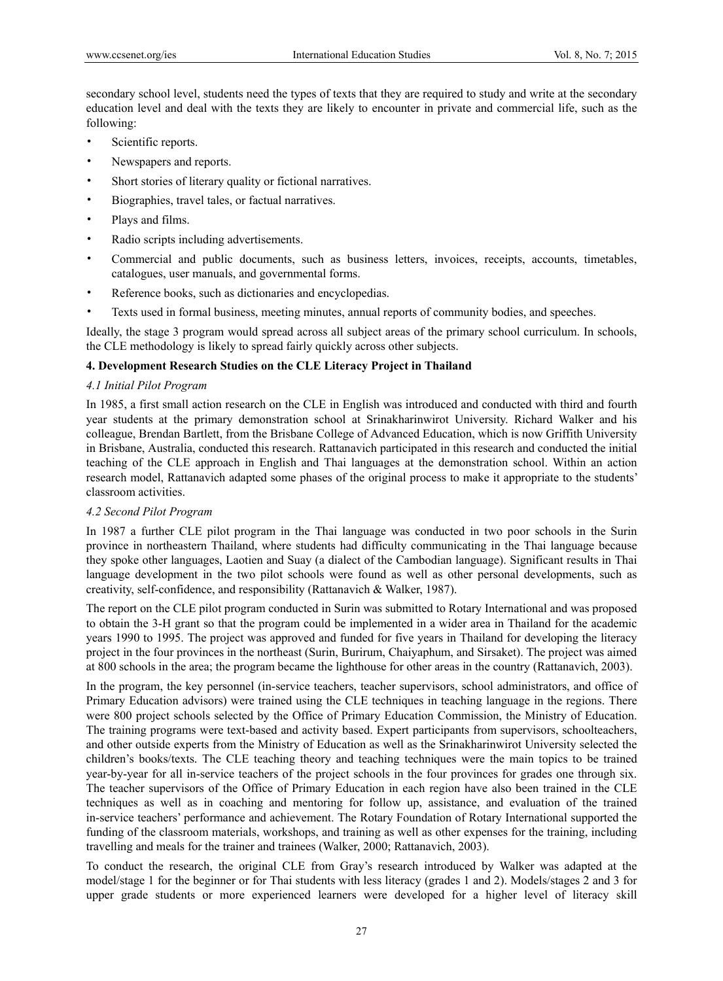secondary school level, students need the types of texts that they are required to study and write at the secondary education level and deal with the texts they are likely to encounter in private and commercial life, such as the following:

- Scientific reports.
- Newspapers and reports.
- Short stories of literary quality or fictional narratives.
- Biographies, travel tales, or factual narratives.
- Plays and films.
- Radio scripts including advertisements.
- Commercial and public documents, such as business letters, invoices, receipts, accounts, timetables, catalogues, user manuals, and governmental forms.
- Reference books, such as dictionaries and encyclopedias.
- Texts used in formal business, meeting minutes, annual reports of community bodies, and speeches.

Ideally, the stage 3 program would spread across all subject areas of the primary school curriculum. In schools, the CLE methodology is likely to spread fairly quickly across other subjects.

## **4. Development Research Studies on the CLE Literacy Project in Thailand**

### *4.1 Initial Pilot Program*

In 1985, a first small action research on the CLE in English was introduced and conducted with third and fourth year students at the primary demonstration school at Srinakharinwirot University. Richard Walker and his colleague, Brendan Bartlett, from the Brisbane College of Advanced Education, which is now Griffith University in Brisbane, Australia, conducted this research. Rattanavich participated in this research and conducted the initial teaching of the CLE approach in English and Thai languages at the demonstration school. Within an action research model, Rattanavich adapted some phases of the original process to make it appropriate to the students' classroom activities.

## *4.2 Second Pilot Program*

In 1987 a further CLE pilot program in the Thai language was conducted in two poor schools in the Surin province in northeastern Thailand, where students had difficulty communicating in the Thai language because they spoke other languages, Laotien and Suay (a dialect of the Cambodian language). Significant results in Thai language development in the two pilot schools were found as well as other personal developments, such as creativity, self-confidence, and responsibility (Rattanavich & Walker, 1987).

The report on the CLE pilot program conducted in Surin was submitted to Rotary International and was proposed to obtain the 3-H grant so that the program could be implemented in a wider area in Thailand for the academic years 1990 to 1995. The project was approved and funded for five years in Thailand for developing the literacy project in the four provinces in the northeast (Surin, Burirum, Chaiyaphum, and Sirsaket). The project was aimed at 800 schools in the area; the program became the lighthouse for other areas in the country (Rattanavich, 2003).

In the program, the key personnel (in-service teachers, teacher supervisors, school administrators, and office of Primary Education advisors) were trained using the CLE techniques in teaching language in the regions. There were 800 project schools selected by the Office of Primary Education Commission, the Ministry of Education. The training programs were text-based and activity based. Expert participants from supervisors, schoolteachers, and other outside experts from the Ministry of Education as well as the Srinakharinwirot University selected the children's books/texts. The CLE teaching theory and teaching techniques were the main topics to be trained year-by-year for all in-service teachers of the project schools in the four provinces for grades one through six. The teacher supervisors of the Office of Primary Education in each region have also been trained in the CLE techniques as well as in coaching and mentoring for follow up, assistance, and evaluation of the trained in-service teachers' performance and achievement. The Rotary Foundation of Rotary International supported the funding of the classroom materials, workshops, and training as well as other expenses for the training, including travelling and meals for the trainer and trainees (Walker, 2000; Rattanavich, 2003).

To conduct the research, the original CLE from Gray's research introduced by Walker was adapted at the model/stage 1 for the beginner or for Thai students with less literacy (grades 1 and 2). Models/stages 2 and 3 for upper grade students or more experienced learners were developed for a higher level of literacy skill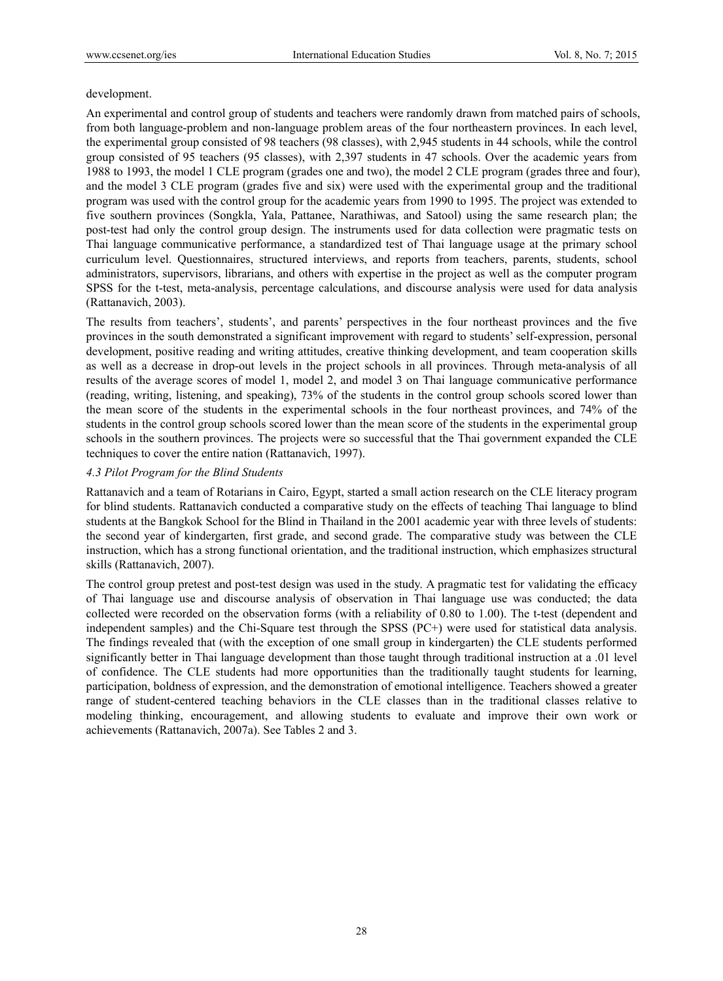# development.

An experimental and control group of students and teachers were randomly drawn from matched pairs of schools, from both language-problem and non-language problem areas of the four northeastern provinces. In each level, the experimental group consisted of 98 teachers (98 classes), with 2,945 students in 44 schools, while the control group consisted of 95 teachers (95 classes), with 2,397 students in 47 schools. Over the academic years from 1988 to 1993, the model 1 CLE program (grades one and two), the model 2 CLE program (grades three and four), and the model 3 CLE program (grades five and six) were used with the experimental group and the traditional program was used with the control group for the academic years from 1990 to 1995. The project was extended to five southern provinces (Songkla, Yala, Pattanee, Narathiwas, and Satool) using the same research plan; the post-test had only the control group design. The instruments used for data collection were pragmatic tests on Thai language communicative performance, a standardized test of Thai language usage at the primary school curriculum level. Questionnaires, structured interviews, and reports from teachers, parents, students, school administrators, supervisors, librarians, and others with expertise in the project as well as the computer program SPSS for the t-test, meta-analysis, percentage calculations, and discourse analysis were used for data analysis (Rattanavich, 2003).

The results from teachers', students', and parents' perspectives in the four northeast provinces and the five provinces in the south demonstrated a significant improvement with regard to students' self-expression, personal development, positive reading and writing attitudes, creative thinking development, and team cooperation skills as well as a decrease in drop-out levels in the project schools in all provinces. Through meta-analysis of all results of the average scores of model 1, model 2, and model 3 on Thai language communicative performance (reading, writing, listening, and speaking), 73% of the students in the control group schools scored lower than the mean score of the students in the experimental schools in the four northeast provinces, and 74% of the students in the control group schools scored lower than the mean score of the students in the experimental group schools in the southern provinces. The projects were so successful that the Thai government expanded the CLE techniques to cover the entire nation (Rattanavich, 1997).

# *4.3 Pilot Program for the Blind Students*

Rattanavich and a team of Rotarians in Cairo, Egypt, started a small action research on the CLE literacy program for blind students. Rattanavich conducted a comparative study on the effects of teaching Thai language to blind students at the Bangkok School for the Blind in Thailand in the 2001 academic year with three levels of students: the second year of kindergarten, first grade, and second grade. The comparative study was between the CLE instruction, which has a strong functional orientation, and the traditional instruction, which emphasizes structural skills (Rattanavich, 2007).

The control group pretest and post-test design was used in the study. A pragmatic test for validating the efficacy of Thai language use and discourse analysis of observation in Thai language use was conducted; the data collected were recorded on the observation forms (with a reliability of 0.80 to 1.00). The t-test (dependent and independent samples) and the Chi-Square test through the SPSS (PC+) were used for statistical data analysis. The findings revealed that (with the exception of one small group in kindergarten) the CLE students performed significantly better in Thai language development than those taught through traditional instruction at a .01 level of confidence. The CLE students had more opportunities than the traditionally taught students for learning, participation, boldness of expression, and the demonstration of emotional intelligence. Teachers showed a greater range of student-centered teaching behaviors in the CLE classes than in the traditional classes relative to modeling thinking, encouragement, and allowing students to evaluate and improve their own work or achievements (Rattanavich, 2007a). See Tables 2 and 3.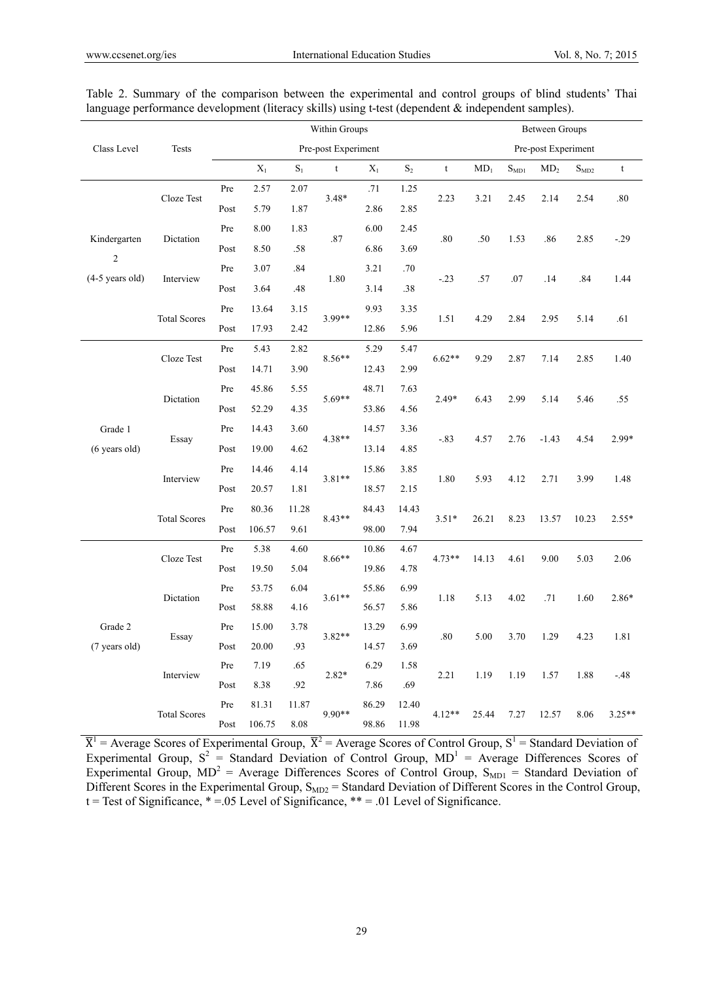|                          |                     | Within Groups       |                |                |             |       |                |                     | <b>Between Groups</b> |           |                 |           |             |  |
|--------------------------|---------------------|---------------------|----------------|----------------|-------------|-------|----------------|---------------------|-----------------------|-----------|-----------------|-----------|-------------|--|
| Class Level              | Tests               | Pre-post Experiment |                |                |             |       |                | Pre-post Experiment |                       |           |                 |           |             |  |
|                          |                     |                     | $\mathbf{X}_1$ | $\mathbf{S}_1$ | $\mathbf t$ | $X_1$ | $\mathbf{S}_2$ | $\mathbf t$         | MD <sub>1</sub>       | $S_{MD1}$ | MD <sub>2</sub> | $S_{MD2}$ | $\mathbf t$ |  |
|                          | Cloze Test          | Pre                 | 2.57           | 2.07           | $3.48*$     | .71   | 1.25           | 2.23                |                       | 2.45      | 2.14            | 2.54      | .80         |  |
|                          |                     | Post                | 5.79           | 1.87           |             | 2.86  | 2.85           |                     | 3.21                  |           |                 |           |             |  |
|                          |                     | Pre                 | 8.00           | 1.83           |             | 6.00  | 2.45           |                     | .50                   | 1.53      | .86             | 2.85      | $-.29$      |  |
| Kindergarten             | Dictation           | Post                | 8.50           | .58            | .87         | 6.86  | 3.69           | .80                 |                       |           |                 |           |             |  |
| $\overline{2}$           |                     | Pre                 | 3.07           | .84            | 1.80        | 3.21  | .70            |                     | .57                   | .07       | .14             | .84       |             |  |
| $(4-5$ years old)        | Interview           | Post                | 3.64           | .48            |             | 3.14  | .38            | $-.23$              |                       |           |                 |           | 1.44        |  |
|                          |                     | Pre                 | 13.64          | 3.15           | 3.99**      | 9.93  | 3.35           | 1.51                | 4.29                  | 2.84      | 2.95            | 5.14      | .61         |  |
|                          | <b>Total Scores</b> | Post                | 17.93          | 2.42           |             | 12.86 | 5.96           |                     |                       |           |                 |           |             |  |
|                          | Cloze Test          | Pre                 | 5.43           | 2.82           | 8.56**      | 5.29  | 5.47           | $6.62**$            | 9.29                  | 2.87      | 7.14            | 2.85      | 1.40        |  |
| Grade 1<br>(6 years old) |                     | Post                | 14.71          | 3.90           |             | 12.43 | 2.99           |                     |                       |           |                 |           |             |  |
|                          | Dictation           | Pre                 | 45.86          | 5.55           |             | 48.71 | 7.63           |                     | 6.43                  | 2.99      | 5.14            | 5.46      |             |  |
|                          |                     | Post                | 52.29          | 4.35           | 5.69**      | 53.86 | 4.56           | 2.49*               |                       |           |                 |           | .55         |  |
|                          | Essay               | Pre                 | 14.43          | 3.60           | 4.38**      | 14.57 | 3.36           | $-.83$              | 4.57                  | 2.76      | $-1.43$         | 4.54      | 2.99*       |  |
|                          |                     | Post                | 19.00          | 4.62           |             | 13.14 | 4.85           |                     |                       |           |                 |           |             |  |
|                          | Interview           | Pre                 | 14.46          | 4.14           | $3.81**$    | 15.86 | 3.85           | 1.80                | 5.93                  | 4.12      | 2.71            | 3.99      | 1.48        |  |
|                          |                     | Post                | 20.57          | 1.81           |             | 18.57 | 2.15           |                     |                       |           |                 |           |             |  |
|                          | <b>Total Scores</b> | Pre                 | 80.36          | 11.28          |             | 84.43 | 14.43          | $3.51*$             | 26.21                 | 8.23      | 13.57           | 10.23     | $2.55*$     |  |
|                          |                     | Post                | 106.57         | 9.61           | $8.43**$    | 98.00 | 7.94           |                     |                       |           |                 |           |             |  |
|                          |                     | Pre                 | 5.38           | 4.60           |             | 10.86 | 4.67           |                     |                       |           |                 |           | 2.06        |  |
|                          | Cloze Test          | Post                | 19.50          | 5.04           | $8.66**$    | 19.86 | 4.78           | 4.73**              | 14.13                 | 4.61      | 9.00            | 5.03      |             |  |
|                          |                     | Pre                 | 53.75          | 6.04           |             | 55.86 | 6.99           | 1.18                |                       |           |                 | 1.60      | $2.86*$     |  |
|                          | Dictation           | Post                | 58.88          | 4.16           | $3.61**$    | 56.57 | 5.86           |                     | 5.13                  | 4.02      | .71             |           |             |  |
| Grade 2                  |                     | Pre                 | 15.00          | 3.78           | 3.82**      | 13.29 | 6.99           | .80                 | 5.00                  | 3.70      | 1.29            |           | 1.81        |  |
| (7 years old)            | Essay               | Post                | 20.00          | .93            |             | 14.57 | 3.69           |                     |                       |           |                 | 4.23      |             |  |
|                          | Interview           | Pre                 | 7.19           | .65            | $2.82*$     | 6.29  | 1.58           | 2.21                | 1.19                  | 1.19      | 1.57            | 1.88      | $-.48$      |  |
|                          |                     | Post                | 8.38           | .92            |             | 7.86  | .69            |                     |                       |           |                 |           |             |  |
|                          | <b>Total Scores</b> | Pre                 | 81.31          | 11.87          | $9.90**$    | 86.29 | 12.40          | $4.12**$            | 25.44                 | 7.27      | 12.57           | 8.06      | $3.25**$    |  |
|                          |                     | Post                | 106.75         | 8.08           |             | 98.86 | 11.98          |                     |                       |           |                 |           |             |  |

| Table 2. Summary of the comparison between the experimental and control groups of blind students' Thai |  |  |  |  |  |  |
|--------------------------------------------------------------------------------------------------------|--|--|--|--|--|--|
| language performance development (literacy skills) using t-test (dependent & independent samples).     |  |  |  |  |  |  |

 $\overline{X}^1$  = Average Scores of Experimental Group,  $\overline{X}^2$  = Average Scores of Control Group, S<sup>1</sup> = Standard Deviation of Experimental Group,  $S^2$  = Standard Deviation of Control Group,  $MD^1$  = Average Differences Scores of Experimental Group,  $MD^2$  = Average Differences Scores of Control Group,  $S_{MD1}$  = Standard Deviation of Different Scores in the Experimental Group,  $S_{MD2}$  = Standard Deviation of Different Scores in the Control Group,  $t = Test of Significance, * = .05$  Level of Significance, \*\* = .01 Level of Significance.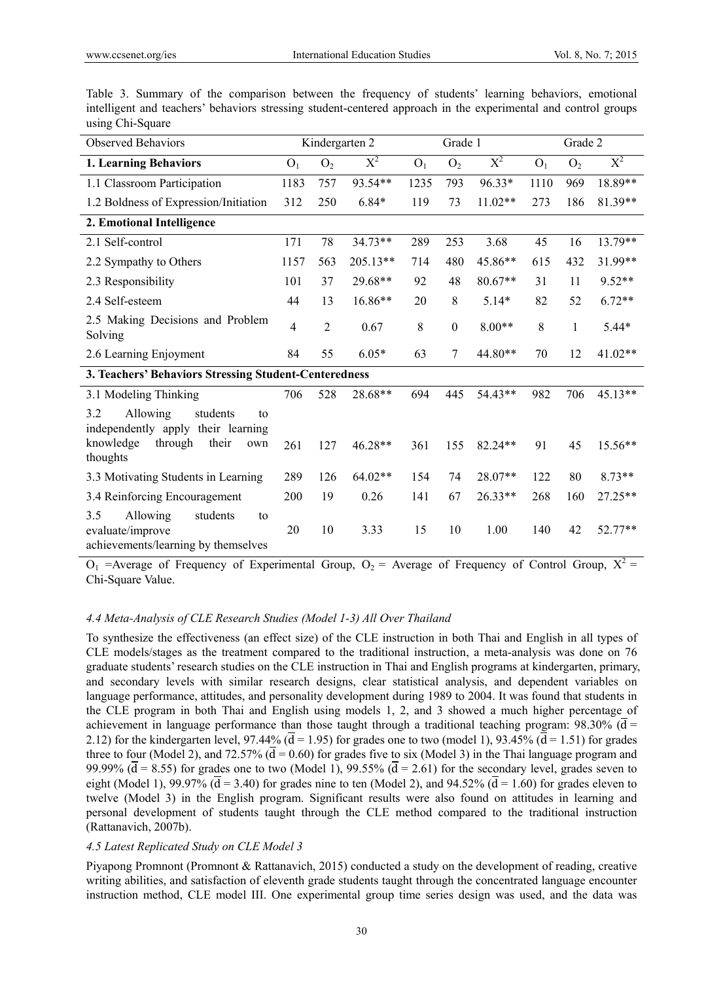| <b>Observed Behaviors</b>                                                                                                   |                | Kindergarten 2 |          |                | Grade 1          |           | Grade 2        |                |          |  |
|-----------------------------------------------------------------------------------------------------------------------------|----------------|----------------|----------|----------------|------------------|-----------|----------------|----------------|----------|--|
| 1. Learning Behaviors                                                                                                       |                | O <sub>2</sub> | $X^2$    | O <sub>1</sub> | O <sub>2</sub>   | $X^2$     | O <sub>1</sub> | O <sub>2</sub> | $X^2$    |  |
| 1.1 Classroom Participation                                                                                                 | 1183           | 757            | 93.54**  | 1235           | 793              | 96.33*    | 1110           | 969            | 18.89**  |  |
| 1.2 Boldness of Expression/Initiation                                                                                       | 312            | 250            | $6.84*$  | 119            | 73               | $11.02**$ | 273            | 186            | 81.39**  |  |
| 2. Emotional Intelligence                                                                                                   |                |                |          |                |                  |           |                |                |          |  |
| 2.1 Self-control                                                                                                            |                | 78             | 34.73**  | 289            | 253              | 3.68      | 45             | 16             | 13.79**  |  |
| 2.2 Sympathy to Others                                                                                                      |                | 563            | 205.13** | 714            | 480              | 45.86**   | 615            | 432            | 31.99**  |  |
| 2.3 Responsibility                                                                                                          | 101            | 37             | 29.68**  | 92             | 48               | 80.67**   | 31             | 11             | $9.52**$ |  |
| 2.4 Self-esteem                                                                                                             |                | 13             | 16.86**  | 20             | 8                | $5.14*$   | 82             | 52             | $6.72**$ |  |
| 2.5 Making Decisions and Problem<br>Solving                                                                                 | $\overline{4}$ | $\overline{2}$ | 0.67     | 8              | $\boldsymbol{0}$ | $8.00**$  | 8              | $\mathbf{1}$   | $5.44*$  |  |
| 2.6 Learning Enjoyment                                                                                                      | 84             | 55             | $6.05*$  | 63             | $\overline{7}$   | 44.80**   | 70             | 12             | 41.02**  |  |
| 3. Teachers' Behaviors Stressing Student-Centeredness                                                                       |                |                |          |                |                  |           |                |                |          |  |
| 3.1 Modeling Thinking                                                                                                       | 706            | 528            | 28.68**  | 694            | 445              | 54.43**   | 982            | 706            | 45.13**  |  |
| Allowing<br>3.2<br>students<br>to<br>independently apply their learning<br>knowledge<br>their<br>through<br>own<br>thoughts | 261            | 127            | 46.28**  | 361            | 155              | 82.24**   | 91             | 45             | 15.56**  |  |
| 3.3 Motivating Students in Learning                                                                                         | 289            | 126            | 64.02**  | 154            | 74               | 28.07**   | 122            | 80             | $8.73**$ |  |
| 3.4 Reinforcing Encouragement                                                                                               | 200            | 19             | 0.26     | 141            | 67               | 26.33**   | 268            | 160            | 27.25**  |  |
| 3.5<br>Allowing<br>students<br>to<br>evaluate/improve<br>achievements/learning by themselves                                | 20             | 10             | 3.33     | 15             | 10               | 1.00      | 140            | 42             | 52.77**  |  |

Table 3. Summary of the comparison between the frequency of students' learning behaviors, emotional intelligent and teachers' behaviors stressing student-centered approach in the experimental and control groups using Chi-Square

 $O_1$  =Average of Frequency of Experimental Group,  $O_2$  = Average of Frequency of Control Group,  $X^2$  = Chi-Square Value.

# *4.4 Meta-Analysis of CLE Research Studies (Model 1-3) All Over Thailand*

To synthesize the effectiveness (an effect size) of the CLE instruction in both Thai and English in all types of CLE models/stages as the treatment compared to the traditional instruction, a meta-analysis was done on 76 graduate students' research studies on the CLE instruction in Thai and English programs at kindergarten, primary, and secondary levels with similar research designs, clear statistical analysis, and dependent variables on language performance, attitudes, and personality development during 1989 to 2004. It was found that students in the CLE program in both Thai and English using models 1, 2, and 3 showed a much higher percentage of achievement in language performance than those taught through a traditional teaching program: 98.30% ( $\overline{d}$  = 2.12) for the kindergarten level, 97.44% ( $\overline{d}$  = 1.95) for grades one to two (model 1), 93.45% ( $\overline{d}$  = 1.51) for grades three to four (Model 2), and 72.57% ( $\overline{d}$  = 0.60) for grades five to six (Model 3) in the Thai language program and 99.99% ( $\overline{d}$  = 8.55) for grades one to two (Model 1), 99.55% ( $\overline{d}$  = 2.61) for the secondary level, grades seven to eight (Model 1), 99.97% ( $\overline{d}$  = 3.40) for grades nine to ten (Model 2), and 94.52% ( $\overline{d}$  = 1.60) for grades eleven to twelve (Model 3) in the English program. Significant results were also found on attitudes in learning and personal development of students taught through the CLE method compared to the traditional instruction (Rattanavich, 2007b).

#### *4.5 Latest Replicated Study on CLE Model 3*

Piyapong Promnont (Promnont & Rattanavich, 2015) conducted a study on the development of reading, creative writing abilities, and satisfaction of eleventh grade students taught through the concentrated language encounter instruction method, CLE model III. One experimental group time series design was used, and the data was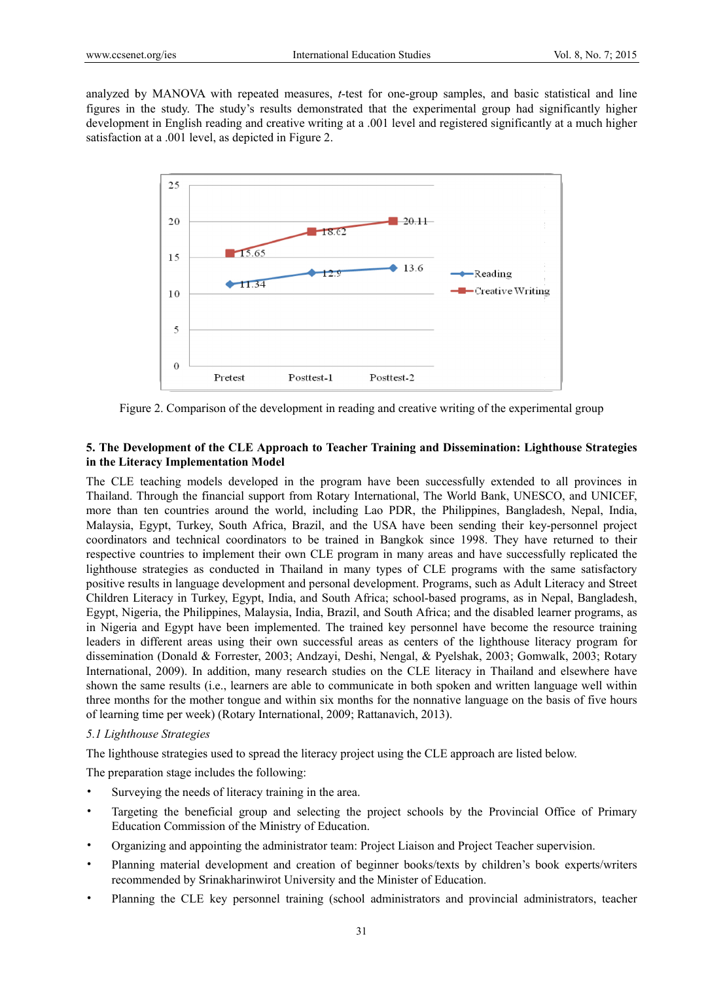analyzed by MANOVA with repeated measures, *t*-test for one-group samples, and basic statistical and line figures in the study. The study's results demonstrated that the experimental group had significantly higher development in English reading and creative writing at a .001 level and registered significantly at a much higher satisfaction at a .001 level, as depicted in Figure 2. g2015



Figure 2. Comparison of the development in reading and creative writing of the experimental group

# **5. The Development of the CLE Approach to Teacher Training and Dissemination: Lighthouse Strategies** in the Literacy Implementation Model

The CLE teaching models developed in the program have been successfully extended to all provinces in Thailand. Through the financial support from Rotary International, The World Bank, UNESCO, and UNICEF, more than ten countries around the world, including Lao PDR, the Philippines, Bangladesh, Nepal, India, Malaysia, Egypt, Turkey, South Africa, Brazil, and the USA have been sending their key-personnel project coordinators and technical coordinators to be trained in Bangkok since 1998. They have returned to their respective countries to implement their own CLE program in many areas and have successfully replicated the lighthouse strategies as conducted in Thailand in many types of CLE programs with the same satisfactory positive results in language development and personal development. Programs, such as Adult Literacy and Street Children Literacy in Turkey, Egypt, India, and South Africa; school-based programs, as in Nepal, Bangladesh, Egypt, Nigeria, the Philippines, Malaysia, India, Brazil, and South Africa; and the disabled learner programs, as in Nigeria and Egypt have been implemented. The trained key personnel have become the resource training leaders in different areas using their own successful areas as centers of the lighthouse literacy program for dissemination (Donald & Forrester, 2003; Andzayi, Deshi, Nengal, & Pyelshak, 2003; Gomwalk, 2003; Rotary International, 2009). In addition, many research studies on the CLE literacy in Thailand and elsewhere have shown the same results (i.e., learners are able to communicate in both spoken and written language well within three months for the mother tongue and within six months for the nonnative language on the basis of five hours of learning time per week) (Rotary International, 2009; Rattanavich, 2013).

# 5.1 Lighthouse Strategies

The lighthouse strategies used to spread the literacy project using the CLE approach are listed below.

The preparation stage includes the following:

- Surveying the needs of literacy training in the area.
- Targeting the beneficial group and selecting the project schools by the Provincial Office of Primary Education Commission of the Ministry of Education.
- Organizing and appointing the administrator team: Project Liaison and Project Teacher supervision.
- Planning material development and creation of beginner books/texts by children's book experts/writers recommended by Srinakharinwirot University and the Minister of Education.
- · Planning the CLE key personnel training (school administrators and provincial administrators, teacher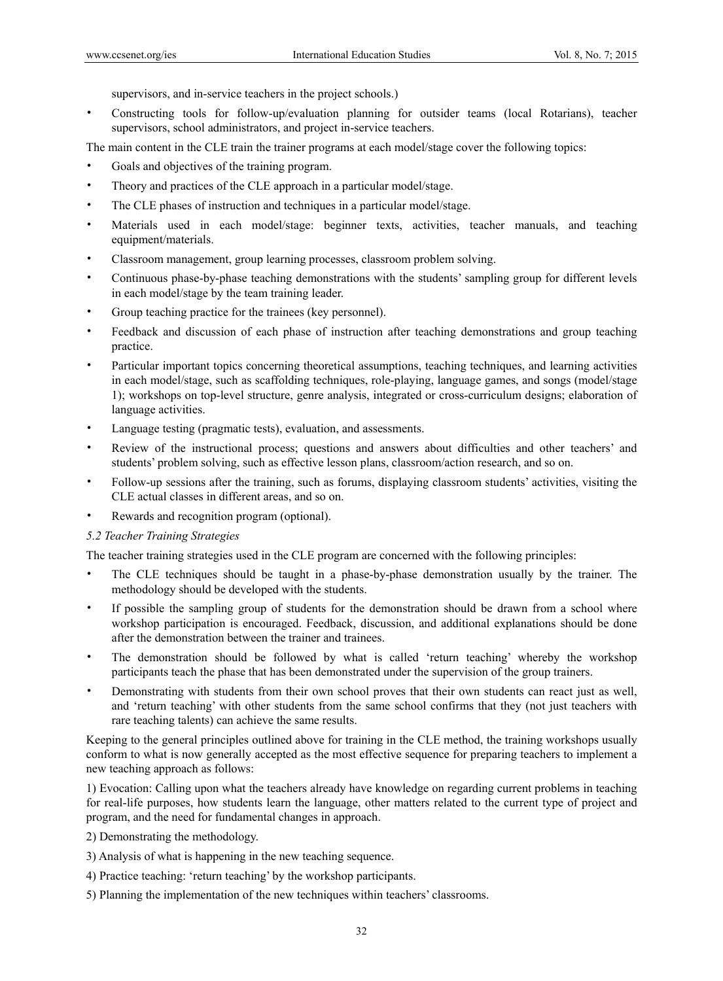supervisors, and in-service teachers in the project schools.)

• Constructing tools for follow-up/evaluation planning for outsider teams (local Rotarians), teacher supervisors, school administrators, and project in-service teachers.

The main content in the CLE train the trainer programs at each model/stage cover the following topics:

- Goals and objectives of the training program.
- Theory and practices of the CLE approach in a particular model/stage.
- The CLE phases of instruction and techniques in a particular model/stage.
- Materials used in each model/stage: beginner texts, activities, teacher manuals, and teaching equipment/materials.
- Classroom management, group learning processes, classroom problem solving.
- Continuous phase-by-phase teaching demonstrations with the students' sampling group for different levels in each model/stage by the team training leader.
- Group teaching practice for the trainees (key personnel).
- Feedback and discussion of each phase of instruction after teaching demonstrations and group teaching practice.
- Particular important topics concerning theoretical assumptions, teaching techniques, and learning activities in each model/stage, such as scaffolding techniques, role-playing, language games, and songs (model/stage 1); workshops on top-level structure, genre analysis, integrated or cross-curriculum designs; elaboration of language activities.
- Language testing (pragmatic tests), evaluation, and assessments.
- Review of the instructional process; questions and answers about difficulties and other teachers' and students' problem solving, such as effective lesson plans, classroom/action research, and so on.
- Follow-up sessions after the training, such as forums, displaying classroom students' activities, visiting the CLE actual classes in different areas, and so on.
- Rewards and recognition program (optional).

#### *5.2 Teacher Training Strategies*

The teacher training strategies used in the CLE program are concerned with the following principles:

- The CLE techniques should be taught in a phase-by-phase demonstration usually by the trainer. The methodology should be developed with the students.
- If possible the sampling group of students for the demonstration should be drawn from a school where workshop participation is encouraged. Feedback, discussion, and additional explanations should be done after the demonstration between the trainer and trainees.
- The demonstration should be followed by what is called 'return teaching' whereby the workshop participants teach the phase that has been demonstrated under the supervision of the group trainers.
- Demonstrating with students from their own school proves that their own students can react just as well, and 'return teaching' with other students from the same school confirms that they (not just teachers with rare teaching talents) can achieve the same results.

Keeping to the general principles outlined above for training in the CLE method, the training workshops usually conform to what is now generally accepted as the most effective sequence for preparing teachers to implement a new teaching approach as follows:

1) Evocation: Calling upon what the teachers already have knowledge on regarding current problems in teaching for real-life purposes, how students learn the language, other matters related to the current type of project and program, and the need for fundamental changes in approach.

- 2) Demonstrating the methodology.
- 3) Analysis of what is happening in the new teaching sequence.
- 4) Practice teaching: 'return teaching' by the workshop participants.
- 5) Planning the implementation of the new techniques within teachers' classrooms.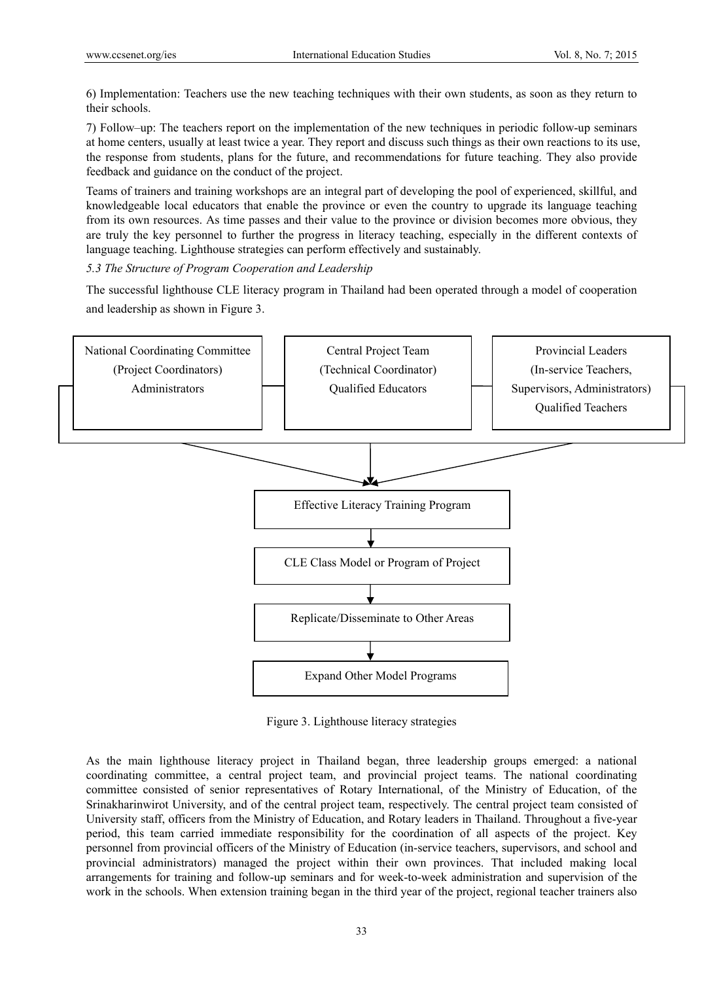6) Implementation: Teachers use the new teaching techniques with their own students, as soon as they return to their schools.

7) Follow–up: The teachers report on the implementation of the new techniques in periodic follow-up seminars at home centers, usually at least twice a year. They report and discuss such things as their own reactions to its use, the response from students, plans for the future, and recommendations for future teaching. They also provide feedback and guidance on the conduct of the project.

Teams of trainers and training workshops are an integral part of developing the pool of experienced, skillful, and knowledgeable local educators that enable the province or even the country to upgrade its language teaching from its own resources. As time passes and their value to the province or division becomes more obvious, they are truly the key personnel to further the progress in literacy teaching, especially in the different contexts of language teaching. Lighthouse strategies can perform effectively and sustainably.

# *5.3 The Structure of Program Cooperation and Leadership*

The successful lighthouse CLE literacy program in Thailand had been operated through a model of cooperation and leadership as shown in Figure 3.



Figure 3. Lighthouse literacy strategies

As the main lighthouse literacy project in Thailand began, three leadership groups emerged: a national coordinating committee, a central project team, and provincial project teams. The national coordinating committee consisted of senior representatives of Rotary International, of the Ministry of Education, of the Srinakharinwirot University, and of the central project team, respectively. The central project team consisted of University staff, officers from the Ministry of Education, and Rotary leaders in Thailand. Throughout a five-year period, this team carried immediate responsibility for the coordination of all aspects of the project. Key personnel from provincial officers of the Ministry of Education (in-service teachers, supervisors, and school and provincial administrators) managed the project within their own provinces. That included making local arrangements for training and follow-up seminars and for week-to-week administration and supervision of the work in the schools. When extension training began in the third year of the project, regional teacher trainers also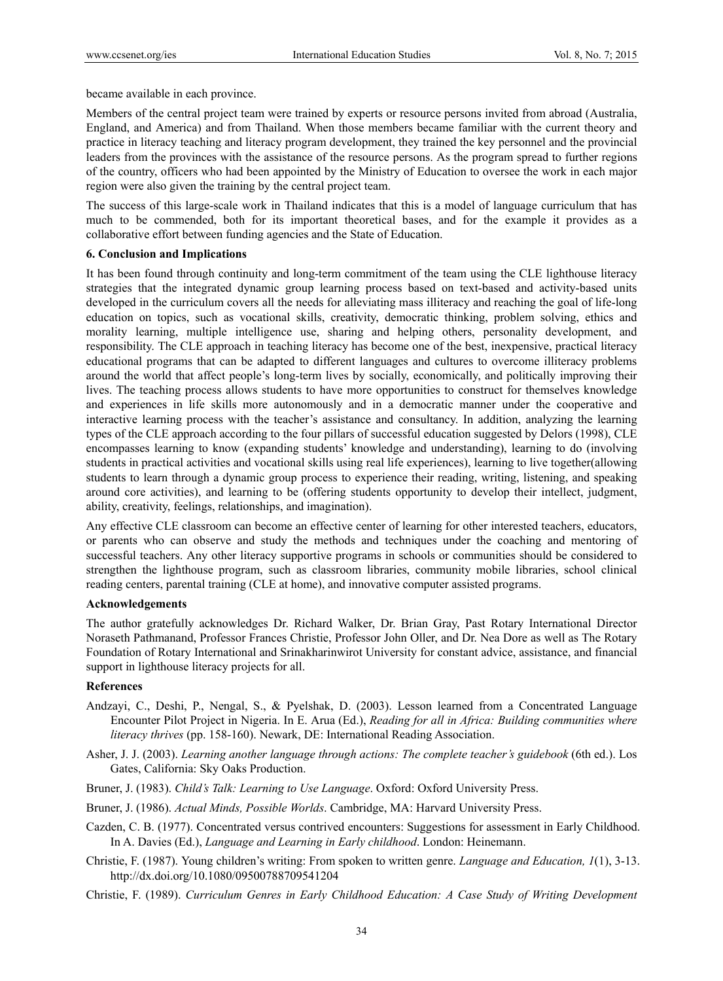became available in each province.

Members of the central project team were trained by experts or resource persons invited from abroad (Australia, England, and America) and from Thailand. When those members became familiar with the current theory and practice in literacy teaching and literacy program development, they trained the key personnel and the provincial leaders from the provinces with the assistance of the resource persons. As the program spread to further regions of the country, officers who had been appointed by the Ministry of Education to oversee the work in each major region were also given the training by the central project team.

The success of this large-scale work in Thailand indicates that this is a model of language curriculum that has much to be commended, both for its important theoretical bases, and for the example it provides as a collaborative effort between funding agencies and the State of Education.

## **6. Conclusion and Implications**

It has been found through continuity and long-term commitment of the team using the CLE lighthouse literacy strategies that the integrated dynamic group learning process based on text-based and activity-based units developed in the curriculum covers all the needs for alleviating mass illiteracy and reaching the goal of life-long education on topics, such as vocational skills, creativity, democratic thinking, problem solving, ethics and morality learning, multiple intelligence use, sharing and helping others, personality development, and responsibility. The CLE approach in teaching literacy has become one of the best, inexpensive, practical literacy educational programs that can be adapted to different languages and cultures to overcome illiteracy problems around the world that affect people's long-term lives by socially, economically, and politically improving their lives. The teaching process allows students to have more opportunities to construct for themselves knowledge and experiences in life skills more autonomously and in a democratic manner under the cooperative and interactive learning process with the teacher's assistance and consultancy. In addition, analyzing the learning types of the CLE approach according to the four pillars of successful education suggested by Delors (1998), CLE encompasses learning to know (expanding students' knowledge and understanding), learning to do (involving students in practical activities and vocational skills using real life experiences), learning to live together(allowing students to learn through a dynamic group process to experience their reading, writing, listening, and speaking around core activities), and learning to be (offering students opportunity to develop their intellect, judgment, ability, creativity, feelings, relationships, and imagination).

Any effective CLE classroom can become an effective center of learning for other interested teachers, educators, or parents who can observe and study the methods and techniques under the coaching and mentoring of successful teachers. Any other literacy supportive programs in schools or communities should be considered to strengthen the lighthouse program, such as classroom libraries, community mobile libraries, school clinical reading centers, parental training (CLE at home), and innovative computer assisted programs.

#### **Acknowledgements**

The author gratefully acknowledges Dr. Richard Walker, Dr. Brian Gray, Past Rotary International Director Noraseth Pathmanand, Professor Frances Christie, Professor John Oller, and Dr. Nea Dore as well as The Rotary Foundation of Rotary International and Srinakharinwirot University for constant advice, assistance, and financial support in lighthouse literacy projects for all.

## **References**

- Andzayi, C., Deshi, P., Nengal, S., & Pyelshak, D. (2003). Lesson learned from a Concentrated Language Encounter Pilot Project in Nigeria. In E. Arua (Ed.), *Reading for all in Africa: Building communities where literacy thrives* (pp. 158-160). Newark, DE: International Reading Association.
- Asher, J. J. (2003). *Learning another language through actions: The complete teacher's guidebook* (6th ed.). Los Gates, California: Sky Oaks Production.
- Bruner, J. (1983). *Child's Talk: Learning to Use Language*. Oxford: Oxford University Press.
- Bruner, J. (1986). *Actual Minds, Possible Worlds*. Cambridge, MA: Harvard University Press.
- Cazden, C. B. (1977). Concentrated versus contrived encounters: Suggestions for assessment in Early Childhood. In A. Davies (Ed.), *Language and Learning in Early childhood*. London: Heinemann.
- Christie, F. (1987). Young children's writing: From spoken to written genre. *Language and Education, 1*(1), 3-13. http://dx.doi.org/10.1080/09500788709541204
- Christie, F. (1989). *Curriculum Genres in Early Childhood Education: A Case Study of Writing Development*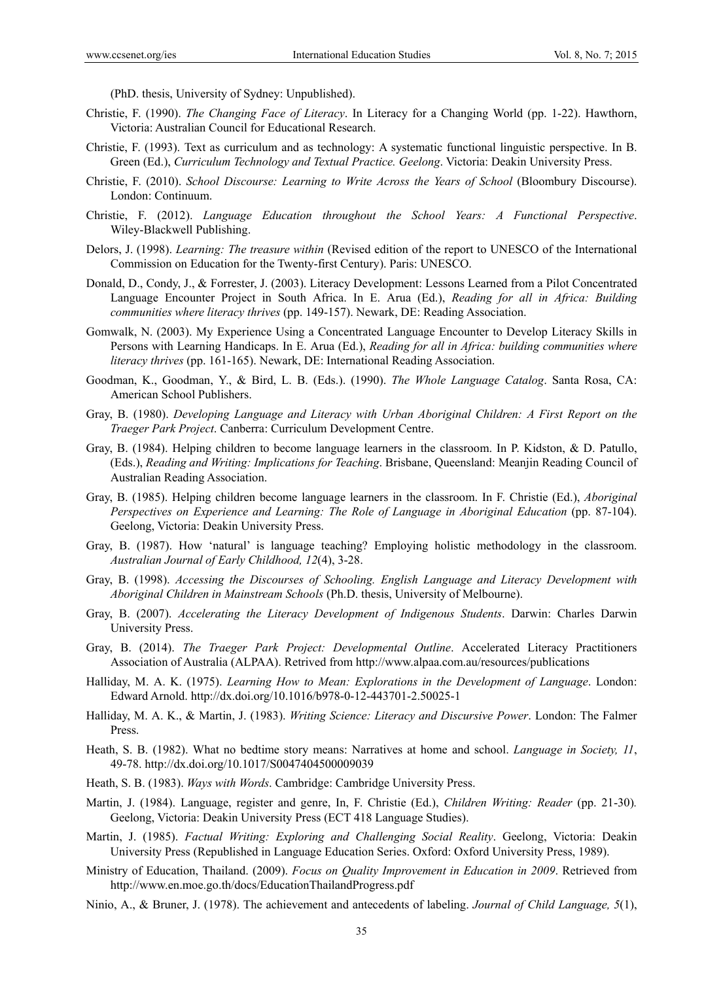(PhD. thesis, University of Sydney: Unpublished).

- Christie, F. (1990). *The Changing Face of Literacy*. In Literacy for a Changing World (pp. 1-22). Hawthorn, Victoria: Australian Council for Educational Research.
- Christie, F. (1993). Text as curriculum and as technology: A systematic functional linguistic perspective. In B. Green (Ed.), *Curriculum Technology and Textual Practice. Geelong*. Victoria: Deakin University Press.
- Christie, F. (2010). *School Discourse: Learning to Write Across the Years of School* (Bloombury Discourse). London: Continuum.
- Christie, F. (2012). *Language Education throughout the School Years: A Functional Perspective*. Wiley-Blackwell Publishing.
- Delors, J. (1998). *Learning: The treasure within* (Revised edition of the report to UNESCO of the International Commission on Education for the Twenty-first Century). Paris: UNESCO.
- Donald, D., Condy, J., & Forrester, J. (2003). Literacy Development: Lessons Learned from a Pilot Concentrated Language Encounter Project in South Africa. In E. Arua (Ed.), *Reading for all in Africa: Building communities where literacy thrives* (pp. 149-157). Newark, DE: Reading Association.
- Gomwalk, N. (2003). My Experience Using a Concentrated Language Encounter to Develop Literacy Skills in Persons with Learning Handicaps. In E. Arua (Ed.), *Reading for all in Africa: building communities where literacy thrives* (pp. 161-165). Newark, DE: International Reading Association.
- Goodman, K., Goodman, Y., & Bird, L. B. (Eds.). (1990). *The Whole Language Catalog*. Santa Rosa, CA: American School Publishers.
- Gray, B. (1980). *Developing Language and Literacy with Urban Aboriginal Children: A First Report on the Traeger Park Project*. Canberra: Curriculum Development Centre.
- Gray, B. (1984). Helping children to become language learners in the classroom. In P. Kidston, & D. Patullo, (Eds.), *Reading and Writing: Implications for Teaching*. Brisbane, Queensland: Meanjin Reading Council of Australian Reading Association.
- Gray, B. (1985). Helping children become language learners in the classroom. In F. Christie (Ed.), *Aboriginal Perspectives on Experience and Learning: The Role of Language in Aboriginal Education* (pp. 87-104). Geelong, Victoria: Deakin University Press.
- Gray, B. (1987). How 'natural' is language teaching? Employing holistic methodology in the classroom. *Australian Journal of Early Childhood, 12*(4), 3-28.
- Gray, B. (1998). *Accessing the Discourses of Schooling. English Language and Literacy Development with Aboriginal Children in Mainstream Schools* (Ph.D. thesis, University of Melbourne).
- Gray, B. (2007). *Accelerating the Literacy Development of Indigenous Students*. Darwin: Charles Darwin University Press.
- Gray, B. (2014). *The Traeger Park Project: Developmental Outline*. Accelerated Literacy Practitioners Association of Australia (ALPAA). Retrived from http://www.alpaa.com.au/resources/publications
- Halliday, M. A. K. (1975). *Learning How to Mean: Explorations in the Development of Language*. London: Edward Arnold. http://dx.doi.org/10.1016/b978-0-12-443701-2.50025-1
- Halliday, M. A. K., & Martin, J. (1983). *Writing Science: Literacy and Discursive Power*. London: The Falmer Press.
- Heath, S. B. (1982). What no bedtime story means: Narratives at home and school. *Language in Society, 11*, 49-78. http://dx.doi.org/10.1017/S0047404500009039
- Heath, S. B. (1983). *Ways with Words*. Cambridge: Cambridge University Press.
- Martin, J. (1984). Language, register and genre, In, F. Christie (Ed.), *Children Writing: Reader* (pp. 21-30)*.* Geelong, Victoria: Deakin University Press (ECT 418 Language Studies).
- Martin, J. (1985). *Factual Writing: Exploring and Challenging Social Reality*. Geelong, Victoria: Deakin University Press (Republished in Language Education Series. Oxford: Oxford University Press, 1989).
- Ministry of Education, Thailand. (2009). *Focus on Quality Improvement in Education in 2009*. Retrieved from http://www.en.moe.go.th/docs/EducationThailandProgress.pdf
- Ninio, A., & Bruner, J. (1978). The achievement and antecedents of labeling. *Journal of Child Language, 5*(1),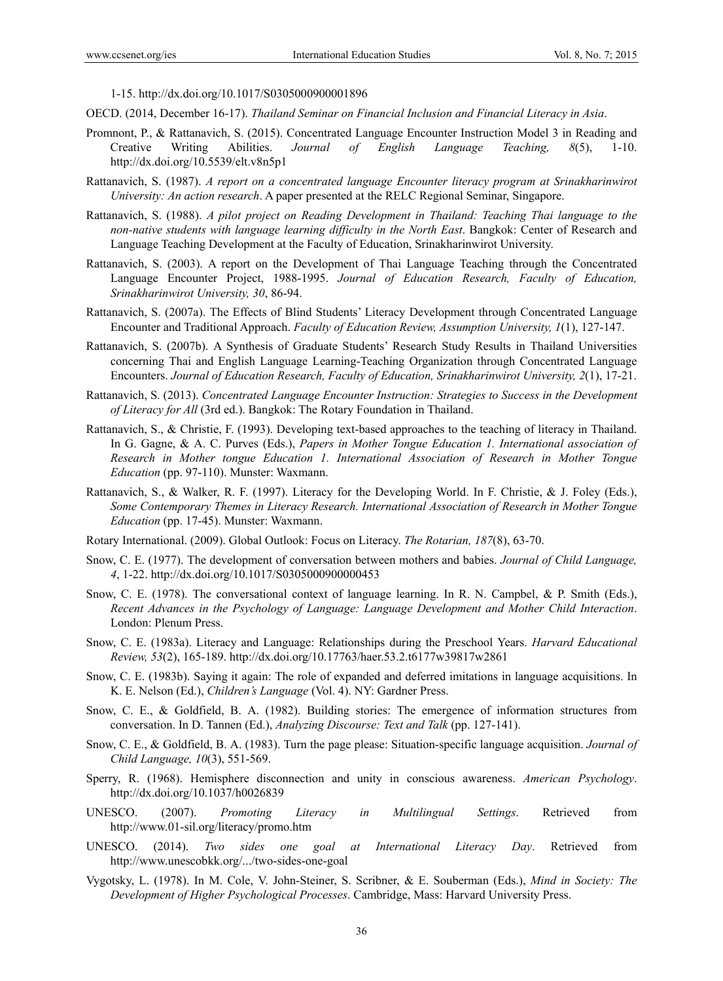1-15. http://dx.doi.org/10.1017/S0305000900001896

- OECD. (2014, December 16-17). *Thailand Seminar on Financial Inclusion and Financial Literacy in Asia*.
- Promnont, P., & Rattanavich, S. (2015). Concentrated Language Encounter Instruction Model 3 in Reading and Creative Writing Abilities. *Journal of English Language Teaching, 8*(5), 1-10. http://dx.doi.org/10.5539/elt.v8n5p1
- Rattanavich, S. (1987). *A report on a concentrated language Encounter literacy program at Srinakharinwirot University: An action research*. A paper presented at the RELC Regional Seminar, Singapore.
- Rattanavich, S. (1988). *A pilot project on Reading Development in Thailand: Teaching Thai language to the non-native students with language learning difficulty in the North East*. Bangkok: Center of Research and Language Teaching Development at the Faculty of Education, Srinakharinwirot University.
- Rattanavich, S. (2003). A report on the Development of Thai Language Teaching through the Concentrated Language Encounter Project, 1988-1995. *Journal of Education Research, Faculty of Education, Srinakharinwirot University, 30*, 86-94.
- Rattanavich, S. (2007a). The Effects of Blind Students' Literacy Development through Concentrated Language Encounter and Traditional Approach. *Faculty of Education Review, Assumption University, 1*(1), 127-147.
- Rattanavich, S. (2007b). A Synthesis of Graduate Students' Research Study Results in Thailand Universities concerning Thai and English Language Learning-Teaching Organization through Concentrated Language Encounters. *Journal of Education Research, Faculty of Education, Srinakharinwirot University, 2*(1), 17-21.
- Rattanavich, S. (2013). *Concentrated Language Encounter Instruction: Strategies to Success in the Development of Literacy for All* (3rd ed.). Bangkok: The Rotary Foundation in Thailand.
- Rattanavich, S., & Christie, F. (1993). Developing text-based approaches to the teaching of literacy in Thailand. In G. Gagne, & A. C. Purves (Eds.), *Papers in Mother Tongue Education 1. International association of Research in Mother tongue Education 1. International Association of Research in Mother Tongue Education* (pp. 97-110). Munster: Waxmann.
- Rattanavich, S., & Walker, R. F. (1997). Literacy for the Developing World. In F. Christie, & J. Foley (Eds.), *Some Contemporary Themes in Literacy Research. International Association of Research in Mother Tongue Education* (pp. 17-45). Munster: Waxmann.
- Rotary International. (2009). Global Outlook: Focus on Literacy. *The Rotarian, 187*(8), 63-70.
- Snow, C. E. (1977). The development of conversation between mothers and babies. *Journal of Child Language, 4*, 1-22. http://dx.doi.org/10.1017/S0305000900000453
- Snow, C. E. (1978). The conversational context of language learning. In R. N. Campbel, & P. Smith (Eds.), *Recent Advances in the Psychology of Language: Language Development and Mother Child Interaction*. London: Plenum Press.
- Snow, C. E. (1983a). Literacy and Language: Relationships during the Preschool Years. *Harvard Educational Review, 53*(2), 165-189. http://dx.doi.org/10.17763/haer.53.2.t6177w39817w2861
- Snow, C. E. (1983b). Saying it again: The role of expanded and deferred imitations in language acquisitions. In K. E. Nelson (Ed.), *Children's Language* (Vol. 4). NY: Gardner Press.
- Snow, C. E., & Goldfield, B. A. (1982). Building stories: The emergence of information structures from conversation. In D. Tannen (Ed.), *Analyzing Discourse: Text and Talk* (pp. 127-141).
- Snow, C. E., & Goldfield, B. A. (1983). Turn the page please: Situation-specific language acquisition. *Journal of Child Language, 10*(3), 551-569.
- Sperry, R. (1968). Hemisphere disconnection and unity in conscious awareness. *American Psychology*. http://dx.doi.org/10.1037/h0026839
- UNESCO. (2007). *Promoting Literacy in Multilingual Settings*. Retrieved from http://www.01-sil.org/literacy/promo.htm
- UNESCO. (2014). *Two sides one goal at International Literacy Day*. Retrieved from http://www.unescobkk.org/.../two-sides-one-goal
- Vygotsky, L. (1978). In M. Cole, V. John-Steiner, S. Scribner, & E. Souberman (Eds.), *Mind in Society: The Development of Higher Psychological Processes*. Cambridge, Mass: Harvard University Press.